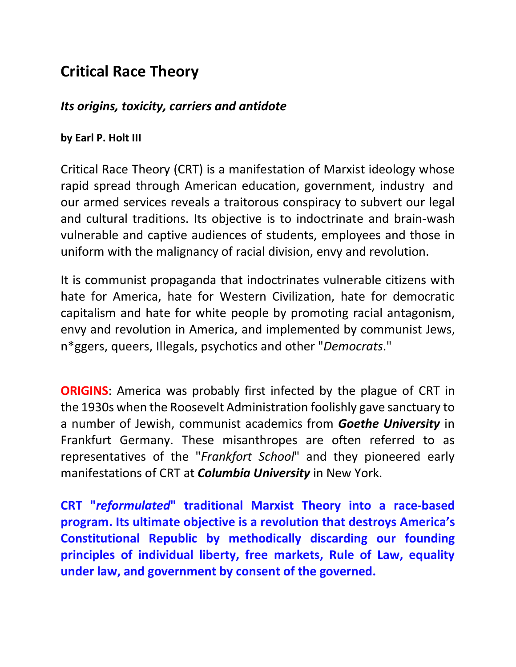## **Critical Race Theory**

## *Its origins, toxicity, carriers and antidote*

## **by Earl P. Holt III**

Critical Race Theory (CRT) is a manifestation of Marxist ideology whose rapid spread through American education, government, industry and our armed services reveals a traitorous conspiracy to subvert our legal and cultural traditions. Its objective is to indoctrinate and brain-wash vulnerable and captive audiences of students, employees and those in uniform with the malignancy of racial division, envy and revolution.

It is communist propaganda that indoctrinates vulnerable citizens with hate for America, hate for Western Civilization, hate for democratic capitalism and hate for white people by promoting racial antagonism, envy and revolution in America, and implemented by communist Jews, n\*ggers, queers, Illegals, psychotics and other "*Democrats*."

**ORIGINS**: America was probably first infected by the plague of CRT in the 1930s when the Roosevelt Administration foolishly gave sanctuary to a number of Jewish, communist academics from *Goethe University* in Frankfurt Germany. These misanthropes are often referred to as representatives of the "*Frankfort School*" and they pioneered early manifestations of CRT at *Columbia University* in New York.

**CRT "***reformulated***" traditional Marxist Theory into a race-based program. Its ultimate objective is a revolution that destroys America's Constitutional Republic by methodically discarding our founding principles of individual liberty, free markets, Rule of Law, equality under law, and government by consent of the governed.**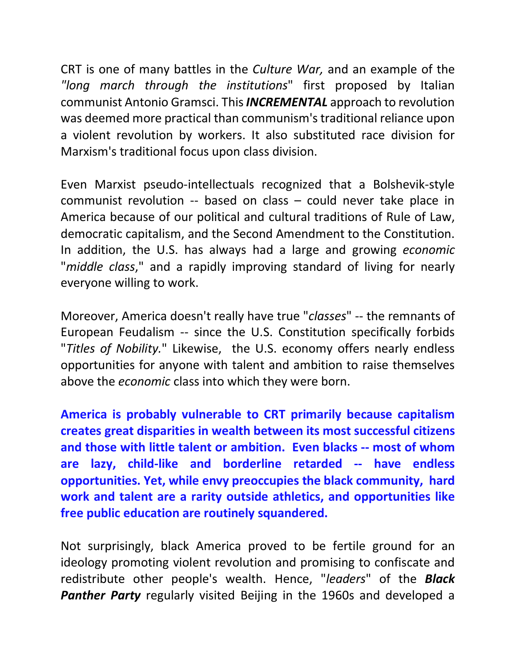CRT is one of many battles in the *Culture War,* and an example of the *"long march through the institutions*" first proposed by Italian communist Antonio Gramsci. This*INCREMENTAL* approach to revolution was deemed more practical than communism's traditional reliance upon a violent revolution by workers. It also substituted race division for Marxism's traditional focus upon class division.

Even Marxist pseudo-intellectuals recognized that a Bolshevik-style communist revolution -- based on class – could never take place in America because of our political and cultural traditions of Rule of Law, democratic capitalism, and the Second Amendment to the Constitution. In addition, the U.S. has always had a large and growing *economic* "*middle class*," and a rapidly improving standard of living for nearly everyone willing to work.

Moreover, America doesn't really have true "*classes*" -- the remnants of European Feudalism -- since the U.S. Constitution specifically forbids "*Titles of Nobility.*" Likewise, the U.S. economy offers nearly endless opportunities for anyone with talent and ambition to raise themselves above the *economic* class into which they were born.

**America is probably vulnerable to CRT primarily because capitalism creates great disparities in wealth between its most successful citizens and those with little talent or ambition. Even blacks -- most of whom are lazy, child-like and borderline retarded -- have endless opportunities. Yet, while envy preoccupies the black community, hard work and talent are a rarity outside athletics, and opportunities like free public education are routinely squandered.**

Not surprisingly, black America proved to be fertile ground for an ideology promoting violent revolution and promising to confiscate and redistribute other people's wealth. Hence, "*leaders*" of the *Black*  **Panther Party** regularly visited Beijing in the 1960s and developed a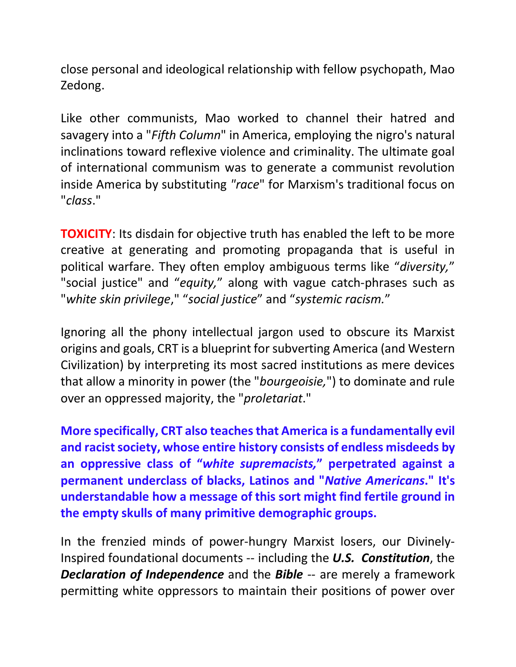close personal and ideological relationship with fellow psychopath, Mao Zedong.

Like other communists, Mao worked to channel their hatred and savagery into a "*Fifth Column*" in America, employing the nigro's natural inclinations toward reflexive violence and criminality. The ultimate goal of international communism was to generate a communist revolution inside America by substituting *"race*" for Marxism's traditional focus on "*class*."

**TOXICITY:** Its disdain for objective truth has enabled the left to be more creative at generating and promoting propaganda that is useful in political warfare. They often employ ambiguous terms like "*diversity,*" "social justice" and "*equity,*" along with vague catch-phrases such as "*white skin privilege*," "*social justice*" and "*systemic racism.*"

Ignoring all the phony intellectual jargon used to obscure its Marxist origins and goals, CRT is a blueprint for subverting America (and Western Civilization) by interpreting its most sacred institutions as mere devices that allow a minority in power (the "*bourgeoisie,*") to dominate and rule over an oppressed majority, the "*proletariat*."

**More specifically, CRT also teachesthat America is a fundamentally evil and racist society, whose entire history consists of endless misdeeds by an oppressive class of "***white supremacists,***" perpetrated against a permanent underclass of blacks, Latinos and "***Native Americans***." It's understandable how a message of this sort might find fertile ground in the empty skulls of many primitive demographic groups.**

In the frenzied minds of power-hungry Marxist losers, our Divinely-Inspired foundational documents -- including the *U.S. Constitution*, the *Declaration of Independence* and the *Bible --* are merely a framework permitting white oppressors to maintain their positions of power over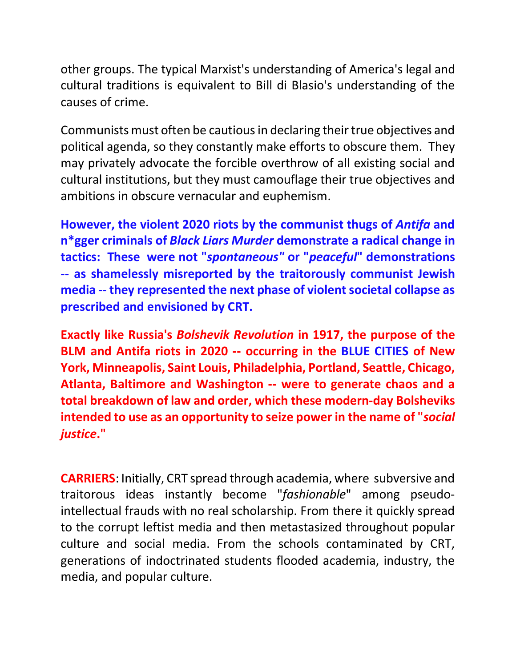other groups. The typical Marxist's understanding of America's legal and cultural traditions is equivalent to Bill di Blasio's understanding of the causes of crime.

Communists must often be cautiousin declaring their true objectives and political agenda, so they constantly make efforts to obscure them. They may privately advocate the forcible overthrow of all existing social and cultural institutions, but they must camouflage their true objectives and ambitions in obscure vernacular and euphemism.

**However, the violent 2020 riots by the communist thugs of** *Antifa* **and n\*gger criminals of** *Black Liars Murder* **demonstrate a radical change in tactics: These were not "***spontaneous"* **or "***peaceful***" demonstrations -- as shamelessly misreported by the traitorously communist Jewish media -- they represented the next phase of violent societal collapse as prescribed and envisioned by CRT.**

**Exactly like Russia's** *Bolshevik Revolution* **in 1917, the purpose of the BLM and Antifa riots in 2020 -- occurring in the BLUE CITIES of New York, Minneapolis, Saint Louis, Philadelphia, Portland, Seattle, Chicago, Atlanta, Baltimore and Washington -- were to generate chaos and a total breakdown of law and order, which these modern-day Bolsheviks intended to use as an opportunity to seize power in the name of "***social justice***."**

**CARRIERS**: Initially, CRT spread through academia, where subversive and traitorous ideas instantly become "*fashionable*" among pseudointellectual frauds with no real scholarship. From there it quickly spread to the corrupt leftist media and then metastasized throughout popular culture and social media. From the schools contaminated by CRT, generations of indoctrinated students flooded academia, industry, the media, and popular culture.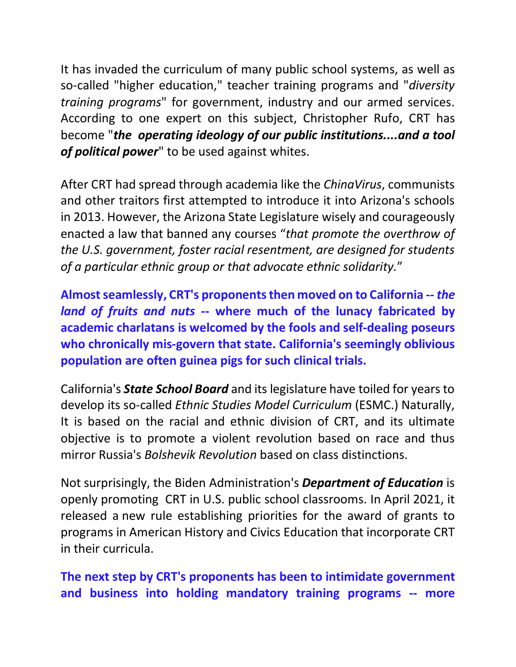It has invaded the curriculum of many public school systems, as well as so-called "higher education," teacher training programs and "*diversity training programs*" for government, industry and our armed services. According to one expert on this subject, Christopher Rufo, CRT has become "*the operating ideology of our public institutions....and a tool of political power*" to be used against whites.

After CRT had spread through academia like the *ChinaVirus*, communists and other traitors first attempted to introduce it into Arizona's schools in 2013. However, the Arizona State Legislature wisely and courageously enacted a law that banned any courses "*that promote the overthrow of the U.S. government, foster racial resentment, are designed for students of a particular ethnic group or that advocate ethnic solidarity.*"

**Almost seamlessly, CRT's proponents then moved on to California --** *the land of fruits and nuts* **-- where much of the lunacy fabricated by academic charlatans is welcomed by the fools and self-dealing poseurs who chronically mis-govern that state. California's seemingly oblivious population are often guinea pigs for such clinical trials.** 

California's *State School Board* and its legislature have toiled for years to develop its so-called *Ethnic Studies Model Curriculum* (ESMC.) Naturally, It is based on the racial and ethnic division of CRT, and its ultimate objective is to promote a violent revolution based on race and thus mirror Russia's *Bolshevik Revolution* based on class distinctions.

Not surprisingly, the Biden Administration's *Department of Education* is openly promoting CRT in U.S. public school classrooms. In April 2021, it released a new rule establishing priorities for the award of grants to programs in American History and Civics Education that incorporate CRT in their curricula.

**The next step by CRT's proponents has been to intimidate government and business into holding mandatory training programs -- more**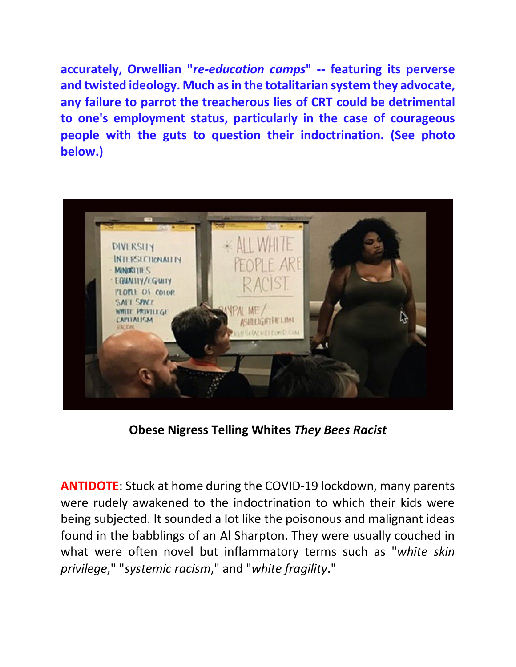**accurately, Orwellian "***re-education camps***" -- featuring its perverse and twisted ideology. Much as in the totalitarian system they advocate, any failure to parrot the treacherous lies of CRT could be detrimental to one's employment status, particularly in the case of courageous people with the guts to question their indoctrination. (See photo below.)**



**Obese Nigress Telling Whites** *They Bees Racist*

**ANTIDOTE**: Stuck at home during the COVID-19 lockdown, many parents were rudely awakened to the indoctrination to which their kids were being subjected. It sounded a lot like the poisonous and malignant ideas found in the babblings of an Al Sharpton. They were usually couched in what were often novel but inflammatory terms such as "*white skin privilege*," "*systemic racism*," and "*white fragility*."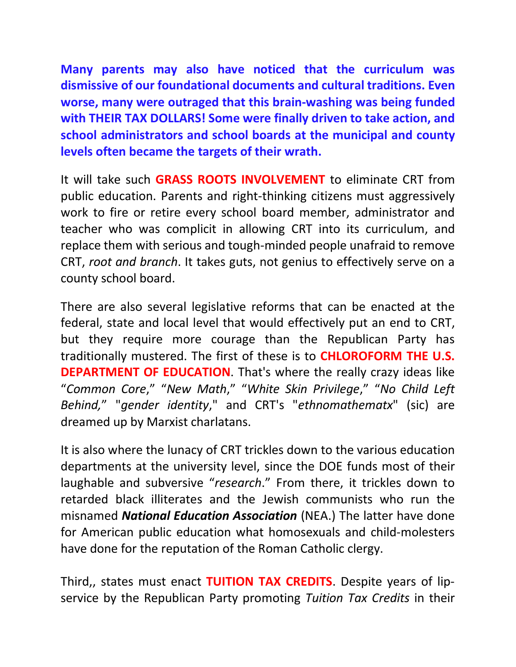**Many parents may also have noticed that the curriculum was dismissive of our foundational documents and cultural traditions. Even worse, many were outraged that this brain-washing was being funded with THEIR TAX DOLLARS! Some were finally driven to take action, and school administrators and school boards at the municipal and county levels often became the targets of their wrath.**

It will take such **GRASS ROOTS INVOLVEMENT** to eliminate CRT from public education. Parents and right-thinking citizens must aggressively work to fire or retire every school board member, administrator and teacher who was complicit in allowing CRT into its curriculum, and replace them with serious and tough-minded people unafraid to remove CRT, *root and branch*. It takes guts, not genius to effectively serve on a county school board.

There are also several legislative reforms that can be enacted at the federal, state and local level that would effectively put an end to CRT, but they require more courage than the Republican Party has traditionally mustered. The first of these is to **CHLOROFORM THE U.S. DEPARTMENT OF EDUCATION**. That's where the really crazy ideas like "*Common Core*," "*New Math*," "*White Skin Privilege*," "*No Child Left Behind,*" "*gender identity*," and CRT's "*ethnomathematx*" (sic) are dreamed up by Marxist charlatans.

It is also where the lunacy of CRT trickles down to the various education departments at the university level, since the DOE funds most of their laughable and subversive "*research*." From there, it trickles down to retarded black illiterates and the Jewish communists who run the misnamed *National Education Association* (NEA.) The latter have done for American public education what homosexuals and child-molesters have done for the reputation of the Roman Catholic clergy.

Third,, states must enact **TUITION TAX CREDITS**. Despite years of lipservice by the Republican Party promoting *Tuition Tax Credits* in their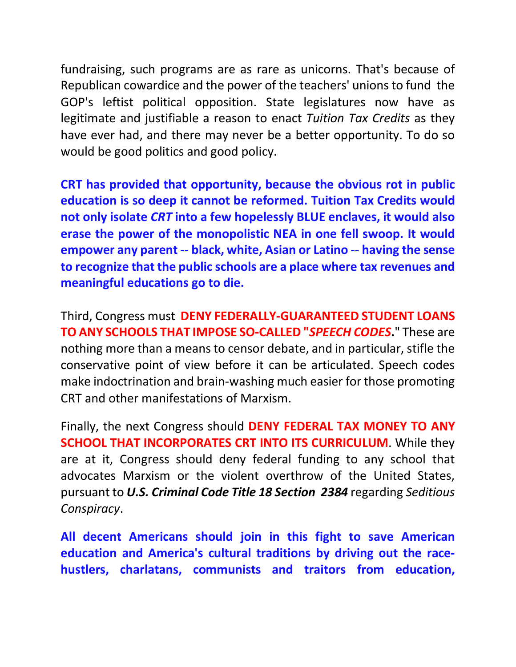fundraising, such programs are as rare as unicorns. That's because of Republican cowardice and the power of the teachers' unions to fund the GOP's leftist political opposition. State legislatures now have as legitimate and justifiable a reason to enact *Tuition Tax Credits* as they have ever had, and there may never be a better opportunity. To do so would be good politics and good policy.

**CRT has provided that opportunity, because the obvious rot in public education is so deep it cannot be reformed. Tuition Tax Credits would not only isolate** *CRT* **into a few hopelessly BLUE enclaves, it would also erase the power of the monopolistic NEA in one fell swoop. It would empower any parent -- black, white, Asian or Latino -- having the sense to recognize that the public schools are a place where tax revenues and meaningful educations go to die.** 

Third, Congress must **DENY FEDERALLY-GUARANTEED STUDENT LOANS TO ANY SCHOOLS THAT IMPOSE SO-CALLED "***SPEECH CODES***.**" These are nothing more than a means to censor debate, and in particular, stifle the conservative point of view before it can be articulated. Speech codes make indoctrination and brain-washing much easier for those promoting CRT and other manifestations of Marxism.

Finally, the next Congress should **DENY FEDERAL TAX MONEY TO ANY SCHOOL THAT INCORPORATES CRT INTO ITS CURRICULUM**. While they are at it, Congress should deny federal funding to any school that advocates Marxism or the violent overthrow of the United States, pursuant to *U.S. Criminal Code Title 18 Section 2384* regarding *Seditious Conspiracy*.

**All decent Americans should join in this fight to save American education and America's cultural traditions by driving out the racehustlers, charlatans, communists and traitors from education,**